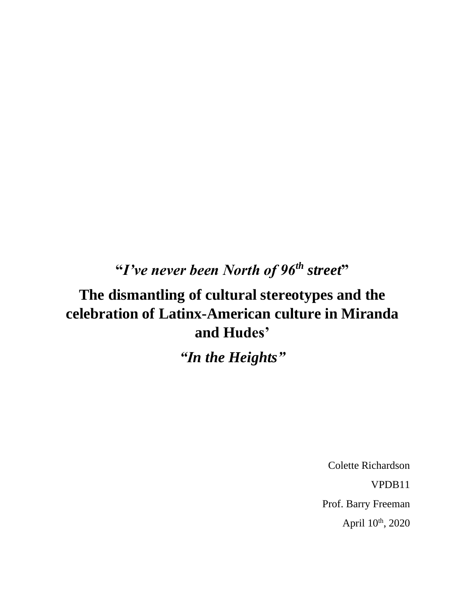## **"***I've never been North of 96th street***"**

## **The dismantling of cultural stereotypes and the celebration of Latinx-American culture in Miranda and Hudes'**

*"In the Heights"*

Colette Richardson VPDB11 Prof. Barry Freeman April 10<sup>th</sup>, 2020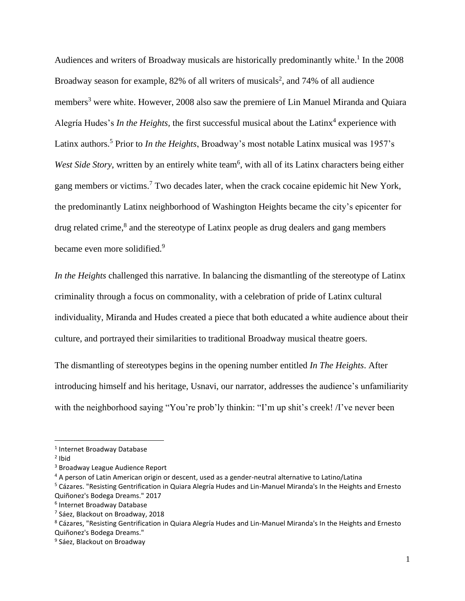Audiences and writers of Broadway musicals are historically predominantly white. 1 In the 2008 Broadway season for example, 82% of all writers of musicals<sup>2</sup>, and 74% of all audience members<sup>3</sup> were white. However, 2008 also saw the premiere of Lin Manuel Miranda and Quiara Alegría Hudes's *In the Heights*, the first successful musical about the Latinx<sup>4</sup> experience with Latinx authors.<sup>5</sup> Prior to *In the Heights*, Broadway's most notable Latinx musical was 1957's West Side Story, written by an entirely white team<sup>6</sup>, with all of its Latinx characters being either gang members or victims.<sup>7</sup> Two decades later, when the crack cocaine epidemic hit New York, the predominantly Latinx neighborhood of Washington Heights became the city's epicenter for drug related crime, $8$  and the stereotype of Latinx people as drug dealers and gang members became even more solidified.<sup>9</sup>

*In the Heights* challenged this narrative. In balancing the dismantling of the stereotype of Latinx criminality through a focus on commonality, with a celebration of pride of Latinx cultural individuality, Miranda and Hudes created a piece that both educated a white audience about their culture, and portrayed their similarities to traditional Broadway musical theatre goers.

The dismantling of stereotypes begins in the opening number entitled *In The Heights*. After introducing himself and his heritage, Usnavi, our narrator, addresses the audience's unfamiliarity with the neighborhood saying "You're prob'ly thinkin: "I'm up shit's creek! *I*'ve never been

<sup>1</sup> Internet Broadway Database

<sup>&</sup>lt;sup>2</sup> Ibid

<sup>3</sup> Broadway League Audience Report

<sup>4</sup> A person of Latin American origin or descent, used as a gender-neutral alternative to Latino/Latina

<sup>5</sup> Cázares. "Resisting Gentrification in Quiara Alegría Hudes and Lin-Manuel Miranda's In the Heights and Ernesto Quiñonez's Bodega Dreams." 2017

<sup>6</sup> Internet Broadway Database

<sup>7</sup> Sáez, Blackout on Broadway, 2018

<sup>8</sup> Cázares, "Resisting Gentrification in Quiara Alegría Hudes and Lin-Manuel Miranda's In the Heights and Ernesto Quiñonez's Bodega Dreams."

<sup>&</sup>lt;sup>9</sup> Sáez, Blackout on Broadway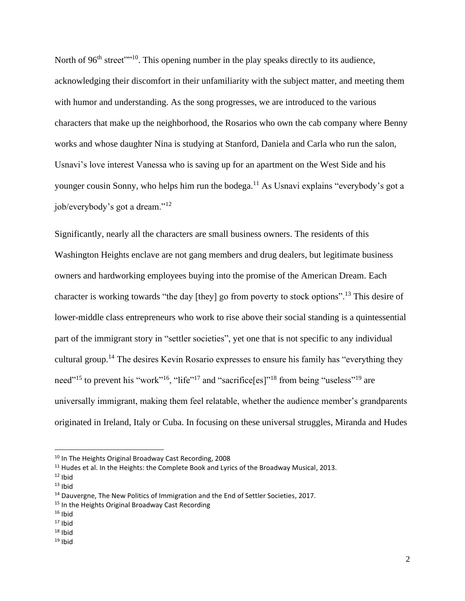North of 96<sup>th</sup> street<sup>"" 10</sup>. This opening number in the play speaks directly to its audience, acknowledging their discomfort in their unfamiliarity with the subject matter, and meeting them with humor and understanding. As the song progresses, we are introduced to the various characters that make up the neighborhood, the Rosarios who own the cab company where Benny works and whose daughter Nina is studying at Stanford, Daniela and Carla who run the salon, Usnavi's love interest Vanessa who is saving up for an apartment on the West Side and his younger cousin Sonny, who helps him run the bodega.<sup>11</sup> As Usnavi explains "everybody's got a job/everybody's got a dream."<sup>12</sup>

Significantly, nearly all the characters are small business owners. The residents of this Washington Heights enclave are not gang members and drug dealers, but legitimate business owners and hardworking employees buying into the promise of the American Dream. Each character is working towards "the day [they] go from poverty to stock options".<sup>13</sup> This desire of lower-middle class entrepreneurs who work to rise above their social standing is a quintessential part of the immigrant story in "settler societies", yet one that is not specific to any individual cultural group.<sup>14</sup> The desires Kevin Rosario expresses to ensure his family has "everything they need"<sup>15</sup> to prevent his "work"<sup>16</sup>, "life"<sup>17</sup> and "sacrifice[es]"<sup>18</sup> from being "useless"<sup>19</sup> are universally immigrant, making them feel relatable, whether the audience member's grandparents originated in Ireland, Italy or Cuba. In focusing on these universal struggles, Miranda and Hudes

<sup>10</sup> In The Heights Original Broadway Cast Recording, 2008

 $11$  Hudes et al. In the Heights: the Complete Book and Lyrics of the Broadway Musical, 2013.

 $12$  Ibid

 $13$  Ibid

<sup>&</sup>lt;sup>14</sup> Dauvergne, The New Politics of Immigration and the End of Settler Societies, 2017.

<sup>&</sup>lt;sup>15</sup> In the Heights Original Broadway Cast Recording

 $16$  Ibid

 $17$  Ibid

 $18$  Ibid

 $19$  Ibid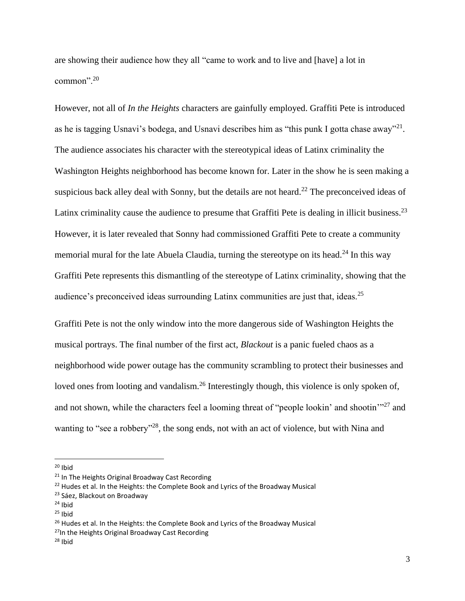are showing their audience how they all "came to work and to live and [have] a lot in common".<sup>20</sup>

However, not all of *In the Heights* characters are gainfully employed. Graffiti Pete is introduced as he is tagging Usnavi's bodega, and Usnavi describes him as "this punk I gotta chase away"<sup>21</sup>. The audience associates his character with the stereotypical ideas of Latinx criminality the Washington Heights neighborhood has become known for. Later in the show he is seen making a suspicious back alley deal with Sonny, but the details are not heard.<sup>22</sup> The preconceived ideas of Latinx criminality cause the audience to presume that Graffiti Pete is dealing in illicit business.<sup>23</sup> However, it is later revealed that Sonny had commissioned Graffiti Pete to create a community memorial mural for the late Abuela Claudia, turning the stereotype on its head.<sup>24</sup> In this way Graffiti Pete represents this dismantling of the stereotype of Latinx criminality, showing that the audience's preconceived ideas surrounding Latinx communities are just that, ideas.<sup>25</sup>

Graffiti Pete is not the only window into the more dangerous side of Washington Heights the musical portrays. The final number of the first act, *Blackout* is a panic fueled chaos as a neighborhood wide power outage has the community scrambling to protect their businesses and loved ones from looting and vandalism.<sup>26</sup> Interestingly though, this violence is only spoken of, and not shown, while the characters feel a looming threat of "people lookin' and shootin'"<sup>27</sup> and wanting to "see a robbery"<sup>28</sup>, the song ends, not with an act of violence, but with Nina and

 $20$  Ibid

<sup>&</sup>lt;sup>21</sup> In The Heights Original Broadway Cast Recording

<sup>&</sup>lt;sup>22</sup> Hudes et al. In the Heights: the Complete Book and Lyrics of the Broadway Musical

<sup>&</sup>lt;sup>23</sup> Sáez, Blackout on Broadway

 $24$  Ibid

 $25$  Ibid

<sup>&</sup>lt;sup>26</sup> Hudes et al. In the Heights: the Complete Book and Lyrics of the Broadway Musical

<sup>&</sup>lt;sup>27</sup>In the Heights Original Broadway Cast Recording

 $28$  Ibid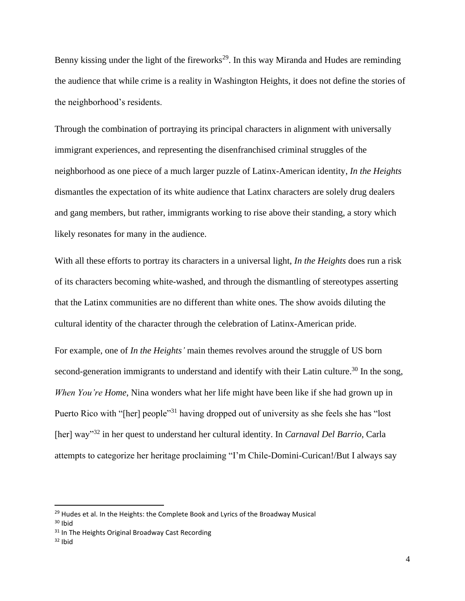Benny kissing under the light of the fireworks<sup>29</sup>. In this way Miranda and Hudes are reminding the audience that while crime is a reality in Washington Heights, it does not define the stories of the neighborhood's residents.

Through the combination of portraying its principal characters in alignment with universally immigrant experiences, and representing the disenfranchised criminal struggles of the neighborhood as one piece of a much larger puzzle of Latinx-American identity, *In the Heights* dismantles the expectation of its white audience that Latinx characters are solely drug dealers and gang members, but rather, immigrants working to rise above their standing, a story which likely resonates for many in the audience.

With all these efforts to portray its characters in a universal light, *In the Heights* does run a risk of its characters becoming white-washed, and through the dismantling of stereotypes asserting that the Latinx communities are no different than white ones. The show avoids diluting the cultural identity of the character through the celebration of Latinx-American pride.

For example, one of *In the Heights'* main themes revolves around the struggle of US born second-generation immigrants to understand and identify with their Latin culture.<sup>30</sup> In the song, *When You're Home*, Nina wonders what her life might have been like if she had grown up in Puerto Rico with "[her] people"<sup>31</sup> having dropped out of university as she feels she has "lost" [her] way"<sup>32</sup> in her quest to understand her cultural identity. In *Carnaval Del Barrio*, Carla attempts to categorize her heritage proclaiming "I'm Chile-Domini-Curican!/But I always say

<sup>&</sup>lt;sup>29</sup> Hudes et al. In the Heights: the Complete Book and Lyrics of the Broadway Musical

 $30$  Ibid

<sup>&</sup>lt;sup>31</sup> In The Heights Original Broadway Cast Recording

 $32$  Ibid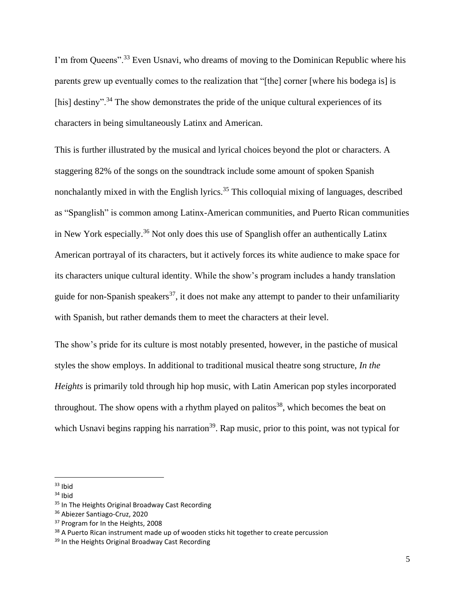I'm from Queens".<sup>33</sup> Even Usnavi, who dreams of moving to the Dominican Republic where his parents grew up eventually comes to the realization that "[the] corner [where his bodega is] is [his] destiny".<sup>34</sup> The show demonstrates the pride of the unique cultural experiences of its characters in being simultaneously Latinx and American.

This is further illustrated by the musical and lyrical choices beyond the plot or characters. A staggering 82% of the songs on the soundtrack include some amount of spoken Spanish nonchalantly mixed in with the English lyrics.<sup>35</sup> This colloquial mixing of languages, described as "Spanglish" is common among Latinx-American communities, and Puerto Rican communities in New York especially. <sup>36</sup> Not only does this use of Spanglish offer an authentically Latinx American portrayal of its characters, but it actively forces its white audience to make space for its characters unique cultural identity. While the show's program includes a handy translation guide for non-Spanish speakers<sup>37</sup>, it does not make any attempt to pander to their unfamiliarity with Spanish, but rather demands them to meet the characters at their level.

The show's pride for its culture is most notably presented, however, in the pastiche of musical styles the show employs. In additional to traditional musical theatre song structure, *In the Heights* is primarily told through hip hop music, with Latin American pop styles incorporated throughout. The show opens with a rhythm played on palitos<sup>38</sup>, which becomes the beat on which Usnavi begins rapping his narration<sup>39</sup>. Rap music, prior to this point, was not typical for

<sup>38</sup> A Puerto Rican instrument made up of wooden sticks hit together to create percussion

<sup>33</sup> Ibid

 $34$  Ibid

<sup>&</sup>lt;sup>35</sup> In The Heights Original Broadway Cast Recording

<sup>36</sup> Abiezer Santiago-Cruz, 2020

<sup>&</sup>lt;sup>37</sup> Program for In the Heights, 2008

<sup>&</sup>lt;sup>39</sup> In the Heights Original Broadway Cast Recording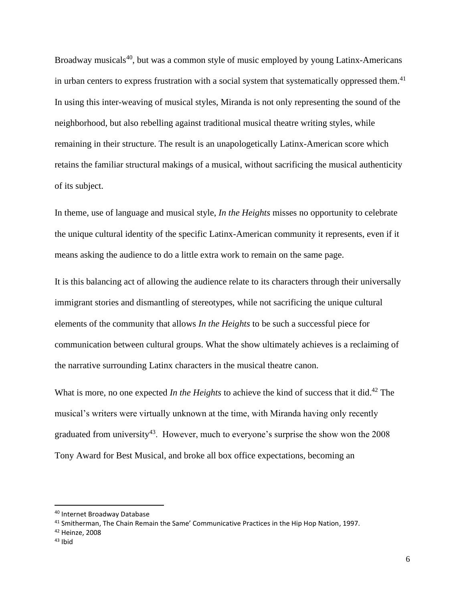Broadway musicals $40$ , but was a common style of music employed by young Latinx-Americans in urban centers to express frustration with a social system that systematically oppressed them.<sup>41</sup> In using this inter-weaving of musical styles, Miranda is not only representing the sound of the neighborhood, but also rebelling against traditional musical theatre writing styles, while remaining in their structure. The result is an unapologetically Latinx-American score which retains the familiar structural makings of a musical, without sacrificing the musical authenticity of its subject.

In theme, use of language and musical style, *In the Heights* misses no opportunity to celebrate the unique cultural identity of the specific Latinx-American community it represents, even if it means asking the audience to do a little extra work to remain on the same page.

It is this balancing act of allowing the audience relate to its characters through their universally immigrant stories and dismantling of stereotypes, while not sacrificing the unique cultural elements of the community that allows *In the Heights* to be such a successful piece for communication between cultural groups. What the show ultimately achieves is a reclaiming of the narrative surrounding Latinx characters in the musical theatre canon.

What is more, no one expected *In the Heights* to achieve the kind of success that it did.<sup>42</sup> The musical's writers were virtually unknown at the time, with Miranda having only recently graduated from university<sup>43</sup>. However, much to everyone's surprise the show won the  $2008$ Tony Award for Best Musical, and broke all box office expectations, becoming an

<sup>42</sup> Heinze, 2008

<sup>40</sup> Internet Broadway Database

<sup>41</sup> Smitherman, The Chain Remain the Same' Communicative Practices in the Hip Hop Nation, 1997.

 $43$  Ibid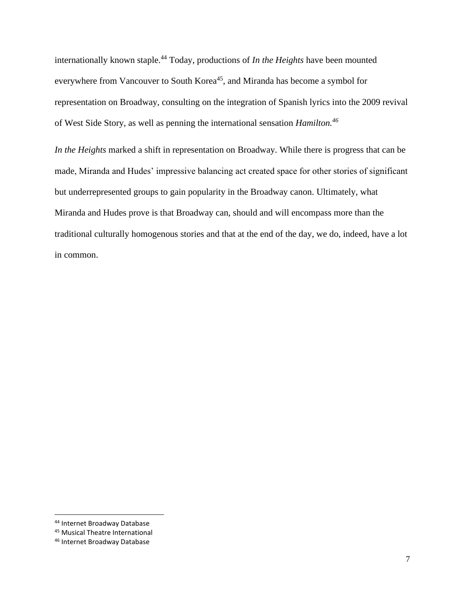internationally known staple.<sup>44</sup> Today, productions of *In the Heights* have been mounted everywhere from Vancouver to South Korea<sup>45</sup>, and Miranda has become a symbol for representation on Broadway, consulting on the integration of Spanish lyrics into the 2009 revival of West Side Story, as well as penning the international sensation *Hamilton.<sup>46</sup>*

*In the Heights* marked a shift in representation on Broadway. While there is progress that can be made, Miranda and Hudes' impressive balancing act created space for other stories of significant but underrepresented groups to gain popularity in the Broadway canon. Ultimately, what Miranda and Hudes prove is that Broadway can, should and will encompass more than the traditional culturally homogenous stories and that at the end of the day, we do, indeed, have a lot in common.

<sup>44</sup> Internet Broadway Database

<sup>45</sup> Musical Theatre International

<sup>46</sup> Internet Broadway Database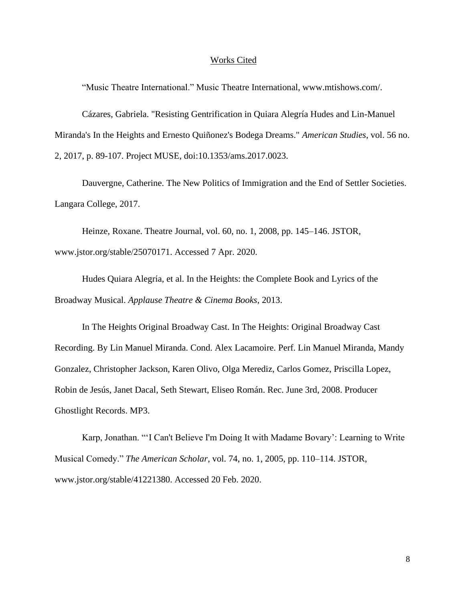## Works Cited

"Music Theatre International." Music Theatre International, www.mtishows.com/.

Cázares, Gabriela. "Resisting Gentrification in Quiara Alegría Hudes and Lin-Manuel Miranda's In the Heights and Ernesto Quiñonez's Bodega Dreams." *American Studies*, vol. 56 no. 2, 2017, p. 89-107. Project MUSE, doi:10.1353/ams.2017.0023.

Dauvergne, Catherine. The New Politics of Immigration and the End of Settler Societies. Langara College, 2017.

Heinze, Roxane. Theatre Journal, vol. 60, no. 1, 2008, pp. 145–146. JSTOR, www.jstor.org/stable/25070171. Accessed 7 Apr. 2020.

Hudes Quiara Alegría, et al. In the Heights: the Complete Book and Lyrics of the Broadway Musical. *Applause Theatre & Cinema Books*, 2013.

In The Heights Original Broadway Cast. In The Heights: Original Broadway Cast Recording. By Lin Manuel Miranda. Cond. Alex Lacamoire. Perf. Lin Manuel Miranda, Mandy Gonzalez, Christopher Jackson, Karen Olivo, Olga Merediz, Carlos Gomez, Priscilla Lopez, Robin de Jesús, Janet Dacal, Seth Stewart, Eliseo Román. Rec. June 3rd, 2008. Producer Ghostlight Records. MP3.

Karp, Jonathan. "'I Can't Believe I'm Doing It with Madame Bovary': Learning to Write Musical Comedy." *The American Scholar*, vol. 74, no. 1, 2005, pp. 110–114. JSTOR, www.jstor.org/stable/41221380. Accessed 20 Feb. 2020.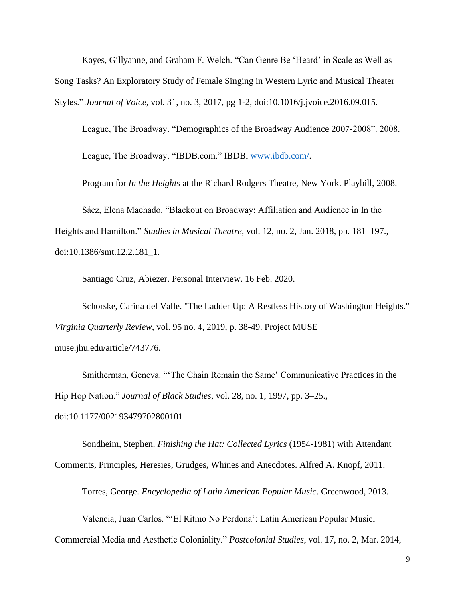Kayes, Gillyanne, and Graham F. Welch. "Can Genre Be 'Heard' in Scale as Well as Song Tasks? An Exploratory Study of Female Singing in Western Lyric and Musical Theater Styles." *Journal of Voice*, vol. 31, no. 3, 2017, pg 1-2, doi:10.1016/j.jvoice.2016.09.015.

League, The Broadway. "Demographics of the Broadway Audience 2007-2008". 2008. League, The Broadway. "IBDB.com." IBDB, [www.ibdb.com/.](http://www.ibdb.com/)

Program for *In the Heights* at the Richard Rodgers Theatre, New York. Playbill, 2008.

Sáez, Elena Machado. "Blackout on Broadway: Affiliation and Audience in In the Heights and Hamilton." *Studies in Musical Theatre*, vol. 12, no. 2, Jan. 2018, pp. 181–197., doi:10.1386/smt.12.2.181\_1.

Santiago Cruz, Abiezer. Personal Interview. 16 Feb. 2020.

Schorske, Carina del Valle. "The Ladder Up: A Restless History of Washington Heights." *Virginia Quarterly Review*, vol. 95 no. 4, 2019, p. 38-49. Project MUSE muse.jhu.edu/article/743776.

Smitherman, Geneva. "'The Chain Remain the Same' Communicative Practices in the Hip Hop Nation." *Journal of Black Studies*, vol. 28, no. 1, 1997, pp. 3–25., doi:10.1177/002193479702800101.

Sondheim, Stephen. *Finishing the Hat: Collected Lyrics* (1954-1981) with Attendant Comments, Principles, Heresies, Grudges, Whines and Anecdotes. Alfred A. Knopf, 2011.

Torres, George. *Encyclopedia of Latin American Popular Music*. Greenwood, 2013.

Valencia, Juan Carlos. "'El Ritmo No Perdona': Latin American Popular Music,

Commercial Media and Aesthetic Coloniality." *Postcolonial Studies*, vol. 17, no. 2, Mar. 2014,